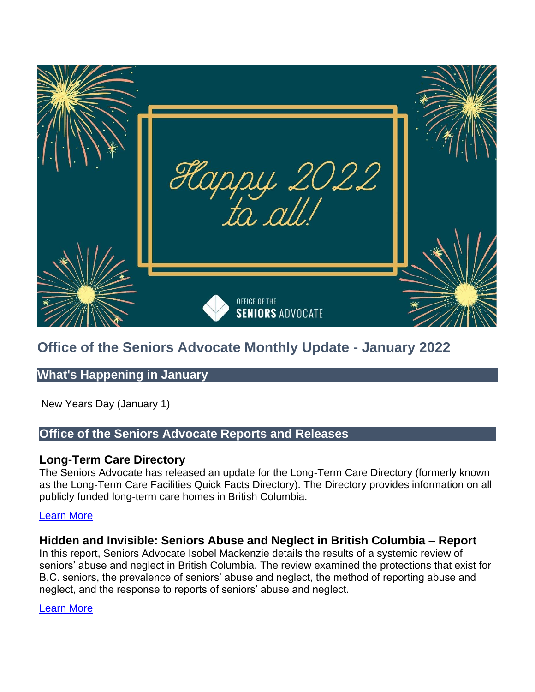

# **Office of the Seniors Advocate Monthly Update - January 2022**

# **What's Happening in January**

New Years Day (January 1)

# **Office of the Seniors Advocate Reports and Releases**

### **Long-Term Care Directory**

The Seniors Advocate has released an update for the Long-Term Care Directory (formerly known as the Long-Term Care Facilities Quick Facts Directory). The Directory provides information on all publicly funded long-term care homes in British Columbia.

### [Learn More](https://www.seniorsadvocatebc.ca/long-term-care-directory/)

# **Hidden and Invisible: Seniors Abuse and Neglect in British Columbia – Report**

In this report, Seniors Advocate Isobel Mackenzie details the results of a systemic review of seniors' abuse and neglect in British Columbia. The review examined the protections that exist for B.C. seniors, the prevalence of seniors' abuse and neglect, the method of reporting abuse and neglect, and the response to reports of seniors' abuse and neglect.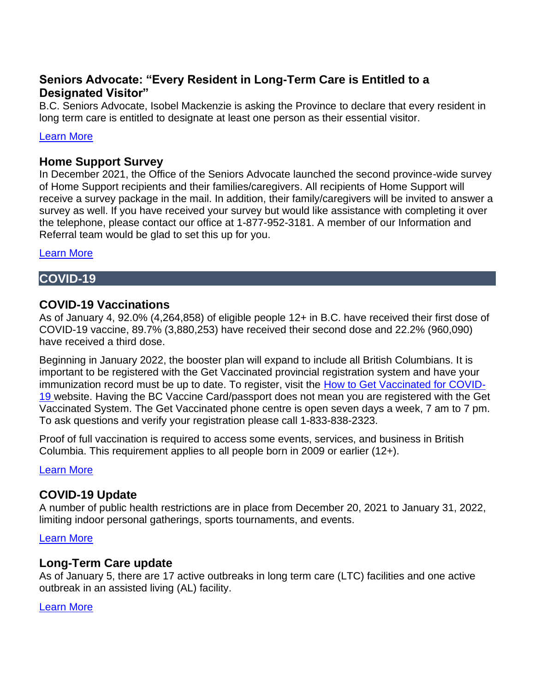# **Seniors Advocate: "Every Resident in Long-Term Care is Entitled to a Designated Visitor"**

B.C. Seniors Advocate, Isobel Mackenzie is asking the Province to declare that every resident in long term care is entitled to designate at least one person as their essential visitor.

### [Learn More](https://www.seniorsadvocatebc.ca/app/uploads/sites/4/2022/01/January-6-OSA-NR-LTC-essential-visitors.pdf)

### **Home Support Survey**

In December 2021, the Office of the Seniors Advocate launched the second province-wide survey of Home Support recipients and their families/caregivers. All recipients of Home Support will receive a survey package in the mail. In addition, their family/caregivers will be invited to answer a survey as well. If you have received your survey but would like assistance with completing it over the telephone, please contact our office at 1-877-952-3181. A member of our Information and Referral team would be glad to set this up for you.

[Learn More](https://www.seniorsadvocatebc.ca/current-issues/home-support-survey-2022/) 

## **COVID-19**

## **COVID-19 Vaccinations**

As of January 4, 92.0% (4,264,858) of eligible people 12+ in B.C. have received their first dose of COVID-19 vaccine, 89.7% (3,880,253) have received their second dose and 22.2% (960,090) have received a third dose.

Beginning in January 2022, the booster plan will expand to include all British Columbians. It is important to be registered with the Get Vaccinated provincial registration system and have your immunization record must be up to date. To register, visit the [How to Get Vaccinated for COVID-](https://www2.gov.bc.ca/gov/content/covid-19/vaccine/register)[19 w](https://www2.gov.bc.ca/gov/content/covid-19/vaccine/register)ebsite. Having the BC Vaccine Card/passport does not mean you are registered with the Get Vaccinated System. The Get Vaccinated phone centre is open seven days a week, 7 am to 7 pm. To ask questions and verify your registration please call 1-833-838-2323.

Proof of full vaccination is required to access some events, services, and business in British Columbia. This requirement applies to all people born in 2009 or earlier (12+).

[Learn More](https://www2.gov.bc.ca/gov/content/covid-19/vaccine/proof) 

# **COVID-19 Update**

A number of public health restrictions are in place from December 20, 2021 to January 31, 2022, limiting indoor personal gatherings, sports tournaments, and events.

[Learn More](https://www2.gov.bc.ca/gov/content/covid-19/info/restrictions) 

### **Long-Term Care update**

As of January 5, there are 17 active outbreaks in long term care (LTC) facilities and one active outbreak in an assisted living (AL) facility.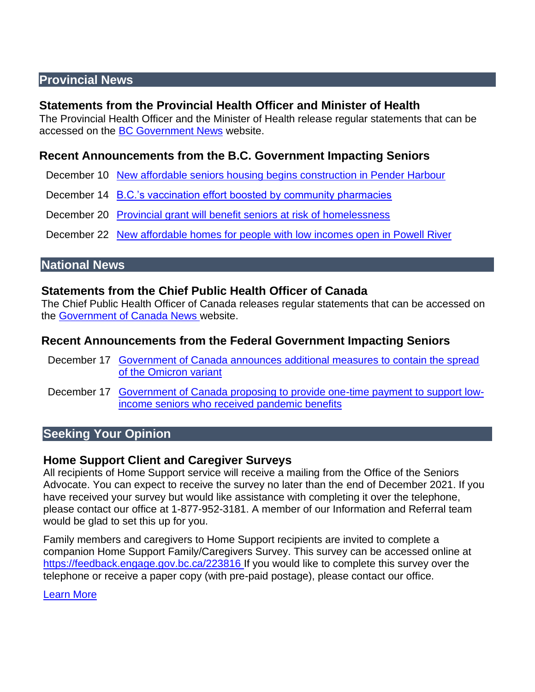# **Provincial News**

### **Statements from the Provincial Health Officer and Minister of Health**

The Provincial Health Officer and the Minister of Health release regular statements that can be accessed on the [BC Government News](https://news.gov.bc.ca/) website.

# **Recent Announcements from the B.C. Government Impacting Seniors**

- December 10 [New affordable seniors housing begins construction in Pender Harbour](https://news.gov.bc.ca/releases/2021AG0183-002365)
- December 14 B.C.'s vaccination effort boosted by community pharmacies
- December 20 Provincial grant will [benefit seniors at risk of homelessness](https://news.gov.bc.ca/releases/2021MMHA0069-002419)

December 22 [New affordable homes for people with low incomes open in Powell River](https://news.gov.bc.ca/releases/2021AG0188-002437) 

# **National News**

### **Statements from the Chief Public Health Officer of Canada**

The Chief Public Health Officer of Canada releases regular statements that can be accessed on the [Government of Canada News w](https://www.canada.ca/en/news.html)ebsite.

### **Recent Announcements from the Federal Government Impacting Seniors**

- December 17 Government of Canada announces additional measures to contain the spread [of the Omicron variant](https://www.canada.ca/en/public-health/news/2021/12/government-of-canada-announces-additional-measures-to-contain-the-spread-of-the-omicron-variant.html)
- December 17 [Government of Canada proposing to provide one-time payment to support low](https://www.canada.ca/en/employment-social-development/news/2021/12/government-of-canada-proposing-to-provide-one-time-payment-to-support-low-income-seniors-who-received-pandemic-benefits.html)[income seniors who received pandemic benefits](https://www.canada.ca/en/employment-social-development/news/2021/12/government-of-canada-proposing-to-provide-one-time-payment-to-support-low-income-seniors-who-received-pandemic-benefits.html)

# **Seeking Your Opinion**

### **Home Support Client and Caregiver Surveys**

All recipients of Home Support service will receive a mailing from the Office of the Seniors Advocate. You can expect to receive the survey no later than the end of December 2021. If you have received your survey but would like assistance with completing it over the telephone, please contact our office at 1-877-952-3181. A member of our Information and Referral team would be glad to set this up for you.

Family members and caregivers to Home Support recipients are invited to complete a companion Home Support Family/Caregivers Survey. This survey can be accessed online at [https://feedback.engage.gov.bc.ca/223816 I](https://feedback.engage.gov.bc.ca/223816)f you would like to complete this survey over the telephone or receive a paper copy (with pre-paid postage), please contact our office.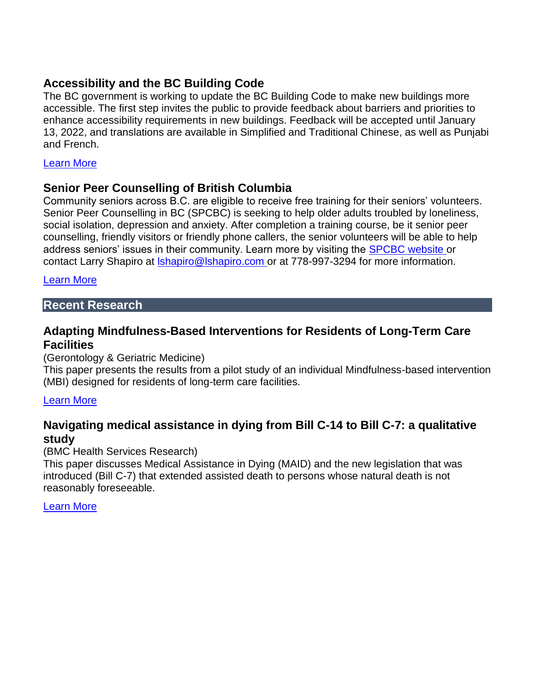# **Accessibility and the BC Building Code**

The BC government is working to update the BC Building Code to make new buildings more accessible. The first step invites the public to provide feedback about barriers and priorities to enhance accessibility requirements in new buildings. Feedback will be accepted until January 13, 2022, and translations are available in Simplified and Traditional Chinese, as well as Punjabi and French.

#### [Learn More](https://engage.gov.bc.ca/govtogetherbc/consultation/building-code-accessibility/)

### **Senior Peer Counselling of British Columbia**

Community seniors across B.C. are eligible to receive free training for their seniors' volunteers. Senior Peer Counselling in BC (SPCBC) is seeking to help older adults troubled by loneliness, social isolation, depression and anxiety. After completion a training course, be it senior peer counselling, friendly visitors or friendly phone callers, the senior volunteers will be able to help address seniors' issues in their community. Learn more by visiting the **SPCBC** website or contact Larry Shapiro at [lshapiro@lshapiro.com o](mailto:lshapiro@lshapiro.com)r at 778-997-3294 for more information.

#### [Learn More](https://spcbc.ca/)

### **Recent Research**

## **Adapting Mindfulness-Based Interventions for Residents of Long-Term Care Facilities**

#### (Gerontology & Geriatric Medicine)

This paper presents the results from a pilot study of an individual Mindfulness-based intervention (MBI) designed for residents of long-term care facilities.

#### [Learn More](https://pubmed.ncbi.nlm.nih.gov/34869793/)

## **Navigating medical assistance in dying from Bill C-14 to Bill C-7: a qualitative study**

#### (BMC Health Services Research)

This paper discusses Medical Assistance in Dying (MAID) and the new legislation that was introduced (Bill C-7) that extended assisted death to persons whose natural death is not reasonably foreseeable.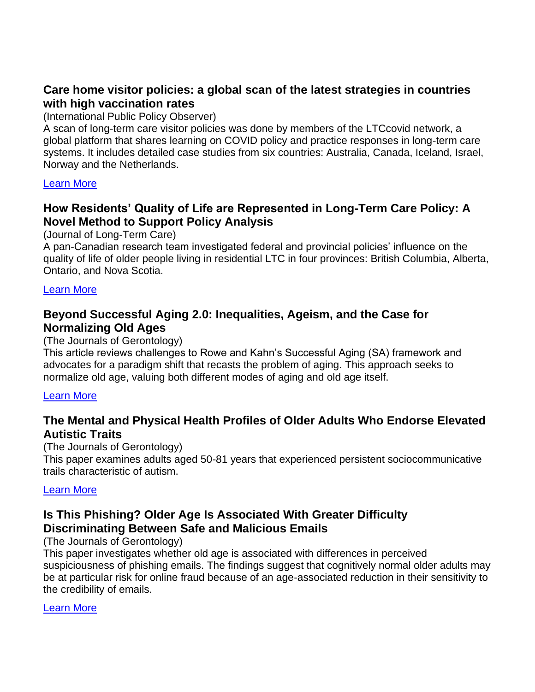# **Care home visitor policies: a global scan of the latest strategies in countries with high vaccination rates**

(International Public Policy Observer)

A scan of long-term care visitor policies was done by members of the LTCcovid network, a global platform that shares learning on COVID policy and practice responses in long-term care systems. It includes detailed case studies from six countries: Australia, Canada, Iceland, Israel, Norway and the Netherlands.

### [Learn More](https://covidandsociety.com/care-home-visitor-policies-global-scan-latest-strategies-countries-high-vaccination-rates/)

# **How Residents' Quality of Life are Represented in Long-Term Care Policy: A Novel Method to Support Policy Analysis**

(Journal of Long-Term Care)

A pan-Canadian research team investigated federal and provincial policies' influence on the quality of life of older people living in residential LTC in four provinces: British Columbia, Alberta, Ontario, and Nova Scotia.

### [Learn More](https://journal.ilpnetwork.org/articles/10.31389/jltc.79/)

# **Beyond Successful Aging 2.0: Inequalities, Ageism, and the Case for Normalizing Old Ages**

### (The Journals of Gerontology)

This article reviews challenges to Rowe and Kahn's Successful Aging (SA) framework and advocates for a paradigm shift that recasts the problem of aging. This approach seeks to normalize old age, valuing both different modes of aging and old age itself.

### [Learn More](https://academic.oup.com/psychsocgerontology/article/76/9/1817/5811407)

# **The Mental and Physical Health Profiles of Older Adults Who Endorse Elevated Autistic Traits**

(The Journals of Gerontology)

This paper examines adults aged 50-81 years that experienced persistent sociocommunicative trails characteristic of autism.

### [Learn More](https://academic.oup.com/psychsocgerontology/article/76/9/1726/5881354)

# **Is This Phishing? Older Age Is Associated With Greater Difficulty Discriminating Between Safe and Malicious Emails**

(The Journals of Gerontology)

This paper investigates whether old age is associated with differences in perceived suspiciousness of phishing emails. The findings suggest that cognitively normal older adults may be at particular risk for online fraud because of an age-associated reduction in their sensitivity to the credibility of emails.